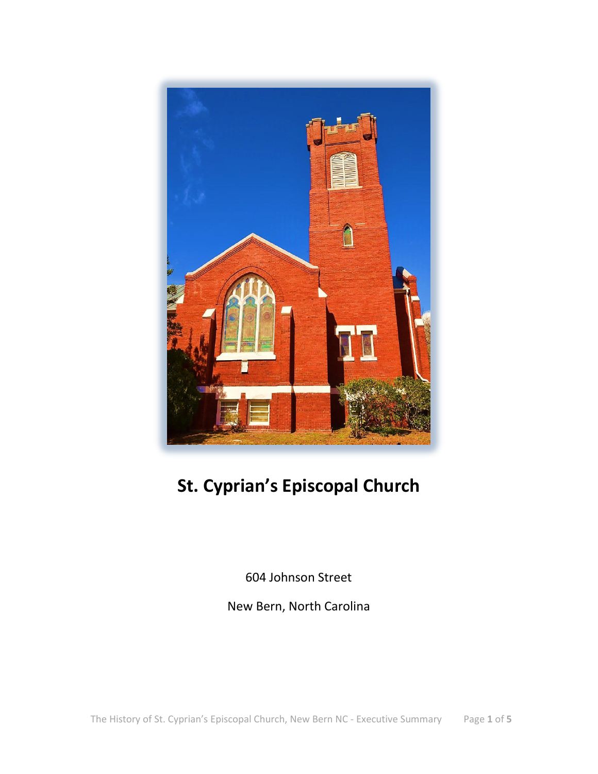

# **St. Cyprian's Episcopal Church**

604 Johnson Street

New Bern, North Carolina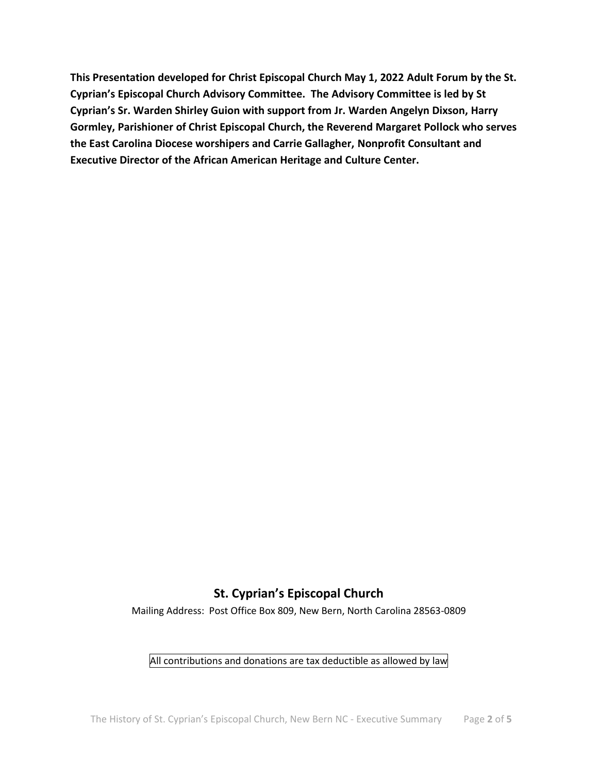**This Presentation developed for Christ Episcopal Church May 1, 2022 Adult Forum by the St. Cyprian's Episcopal Church Advisory Committee. The Advisory Committee is led by St Cyprian's Sr. Warden Shirley Guion with support from Jr. Warden Angelyn Dixson, Harry Gormley, Parishioner of Christ Episcopal Church, the Reverend Margaret Pollock who serves the East Carolina Diocese worshipers and Carrie Gallagher, Nonprofit Consultant and Executive Director of the African American Heritage and Culture Center.**

#### **St. Cyprian's Episcopal Church**

Mailing Address: Post Office Box 809, New Bern, North Carolina 28563-0809

#### All contributions and donations are tax deductible as allowed by law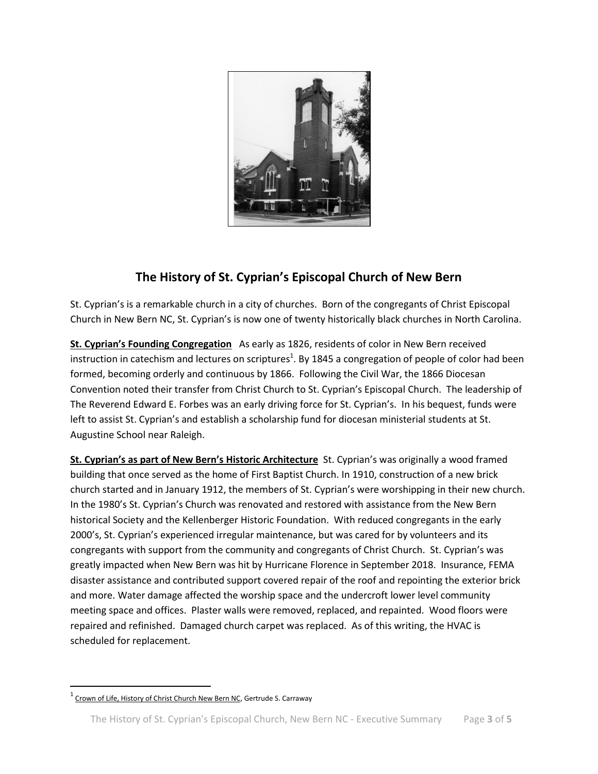

#### **The History of St. Cyprian's Episcopal Church of New Bern**

St. Cyprian's is a remarkable church in a city of churches. Born of the congregants of Christ Episcopal Church in New Bern NC, St. Cyprian's is now one of twenty historically black churches in North Carolina.

**St. Cyprian's Founding Congregation** As early as 1826, residents of color in New Bern received instruction in catechism and lectures on scriptures<sup>1</sup>. By 1845 a congregation of people of color had been formed, becoming orderly and continuous by 1866. Following the Civil War, the 1866 Diocesan Convention noted their transfer from Christ Church to St. Cyprian's Episcopal Church. The leadership of The Reverend Edward E. Forbes was an early driving force for St. Cyprian's. In his bequest, funds were left to assist St. Cyprian's and establish a scholarship fund for diocesan ministerial students at St. Augustine School near Raleigh.

**St. Cyprian's as part of New Bern's Historic Architecture** St. Cyprian's was originally a wood framed building that once served as the home of First Baptist Church. In 1910, construction of a new brick church started and in January 1912, the members of St. Cyprian's were worshipping in their new church. In the 1980's St. Cyprian's Church was renovated and restored with assistance from the New Bern historical Society and the Kellenberger Historic Foundation. With reduced congregants in the early 2000's, St. Cyprian's experienced irregular maintenance, but was cared for by volunteers and its congregants with support from the community and congregants of Christ Church. St. Cyprian's was greatly impacted when New Bern was hit by Hurricane Florence in September 2018. Insurance, FEMA disaster assistance and contributed support covered repair of the roof and repointing the exterior brick and more. Water damage affected the worship space and the undercroft lower level community meeting space and offices. Plaster walls were removed, replaced, and repainted. Wood floors were repaired and refinished. Damaged church carpet was replaced. As of this writing, the HVAC is scheduled for replacement.

 $\overline{\phantom{a}}$ 

 $^{1}$  Crown of Life, History of Christ Church New Bern NC, Gertrude S. Carraway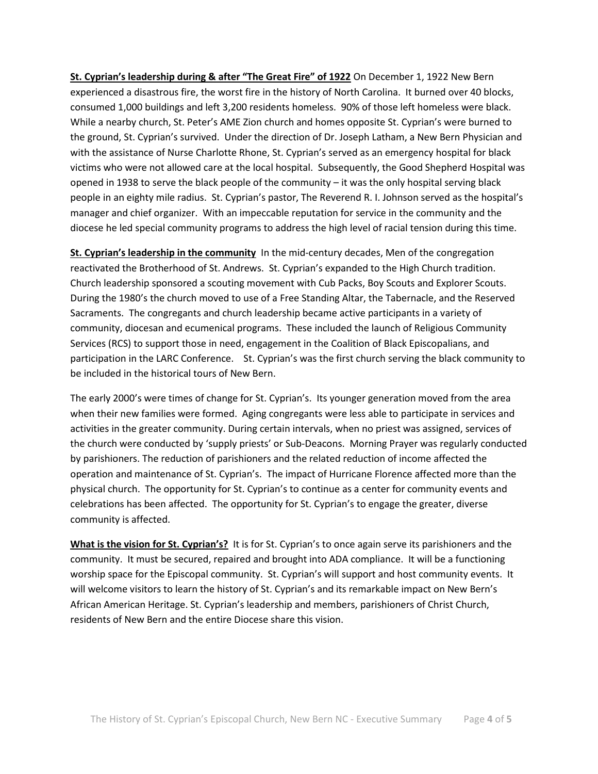**St. Cyprian's leadership during & after "The Great Fire" of 1922** On December 1, 1922 New Bern experienced a disastrous fire, the worst fire in the history of North Carolina. It burned over 40 blocks, consumed 1,000 buildings and left 3,200 residents homeless. 90% of those left homeless were black. While a nearby church, St. Peter's AME Zion church and homes opposite St. Cyprian's were burned to the ground, St. Cyprian's survived. Under the direction of Dr. Joseph Latham, a New Bern Physician and with the assistance of Nurse Charlotte Rhone, St. Cyprian's served as an emergency hospital for black victims who were not allowed care at the local hospital. Subsequently, the Good Shepherd Hospital was opened in 1938 to serve the black people of the community – it was the only hospital serving black people in an eighty mile radius. St. Cyprian's pastor, The Reverend R. I. Johnson served as the hospital's manager and chief organizer. With an impeccable reputation for service in the community and the diocese he led special community programs to address the high level of racial tension during this time.

**St. Cyprian's leadership in the community** In the mid-century decades, Men of the congregation reactivated the Brotherhood of St. Andrews. St. Cyprian's expanded to the High Church tradition. Church leadership sponsored a scouting movement with Cub Packs, Boy Scouts and Explorer Scouts. During the 1980's the church moved to use of a Free Standing Altar, the Tabernacle, and the Reserved Sacraments. The congregants and church leadership became active participants in a variety of community, diocesan and ecumenical programs. These included the launch of Religious Community Services (RCS) to support those in need, engagement in the Coalition of Black Episcopalians, and participation in the LARC Conference. St. Cyprian's was the first church serving the black community to be included in the historical tours of New Bern.

The early 2000's were times of change for St. Cyprian's. Its younger generation moved from the area when their new families were formed. Aging congregants were less able to participate in services and activities in the greater community. During certain intervals, when no priest was assigned, services of the church were conducted by 'supply priests' or Sub-Deacons. Morning Prayer was regularly conducted by parishioners. The reduction of parishioners and the related reduction of income affected the operation and maintenance of St. Cyprian's. The impact of Hurricane Florence affected more than the physical church. The opportunity for St. Cyprian's to continue as a center for community events and celebrations has been affected. The opportunity for St. Cyprian's to engage the greater, diverse community is affected.

**What is the vision for St. Cyprian's?** It is for St. Cyprian's to once again serve its parishioners and the community. It must be secured, repaired and brought into ADA compliance. It will be a functioning worship space for the Episcopal community. St. Cyprian's will support and host community events. It will welcome visitors to learn the history of St. Cyprian's and its remarkable impact on New Bern's African American Heritage. St. Cyprian's leadership and members, parishioners of Christ Church, residents of New Bern and the entire Diocese share this vision.